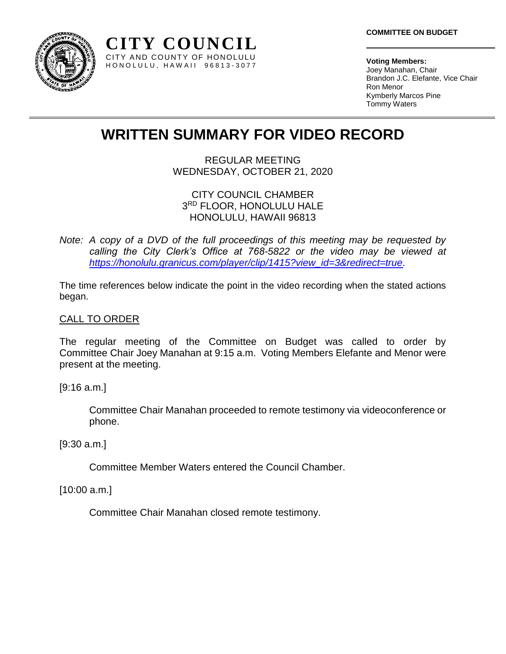

**Voting Members:** Joey Manahan, Chair Brandon J.C. Elefante, Vice Chair Ron Menor Kymberly Marcos Pine Tommy Waters

# **WRITTEN SUMMARY FOR VIDEO RECORD**

**CITY COUNCIL** CITY AND COUNTY OF HONOLULU H O N O L U L U , H A W A I I 9 6 8 1 3 - 3 0 7 7

> REGULAR MEETING WEDNESDAY, OCTOBER 21, 2020

# CITY COUNCIL CHAMBER 3 RD FLOOR, HONOLULU HALE HONOLULU, HAWAII 96813

*Note: A copy of a DVD of the full proceedings of this meeting may be requested by calling the City Clerk's Office at 768-5822 or the video may be viewed at [https://honolulu.granicus.com/player/clip/1415?view\\_id=3&redirect=true.](https://honolulu.granicus.com/player/clip/1415?view_id=3&redirect=true)*

The time references below indicate the point in the video recording when the stated actions began.

# CALL TO ORDER

The regular meeting of the Committee on Budget was called to order by Committee Chair Joey Manahan at 9:15 a.m. Voting Members Elefante and Menor were present at the meeting.

[9:16 a.m.]

Committee Chair Manahan proceeded to remote testimony via videoconference or phone.

## [9:30 a.m.]

Committee Member Waters entered the Council Chamber.

[10:00 a.m.]

Committee Chair Manahan closed remote testimony.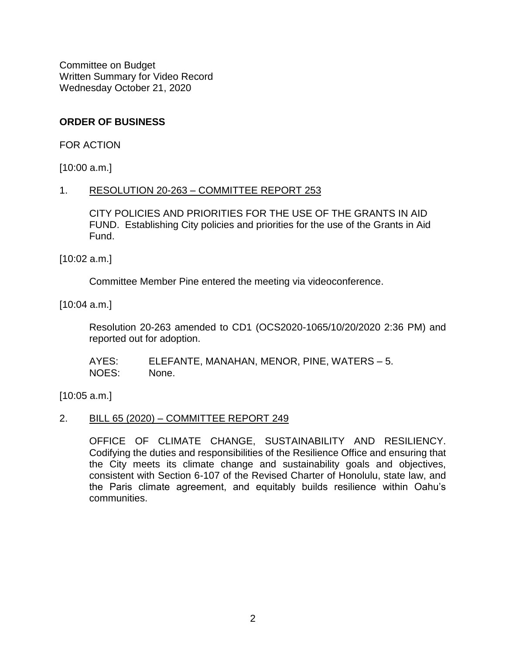# **ORDER OF BUSINESS**

FOR ACTION

[10:00 a.m.]

## 1. RESOLUTION 20-263 – COMMITTEE REPORT 253

CITY POLICIES AND PRIORITIES FOR THE USE OF THE GRANTS IN AID FUND.Establishing City policies and priorities for the use of the Grants in Aid Fund.

[10:02 a.m.]

Committee Member Pine entered the meeting via videoconference.

[10:04 a.m.]

Resolution 20-263 amended to CD1 (OCS2020-1065/10/20/2020 2:36 PM) and reported out for adoption.

AYES: ELEFANTE, MANAHAN, MENOR, PINE, WATERS – 5. NOES: None.

[10:05 a.m.]

## 2. BILL 65 (2020) – COMMITTEE REPORT 249

OFFICE OF CLIMATE CHANGE, SUSTAINABILITY AND RESILIENCY. Codifying the duties and responsibilities of the Resilience Office and ensuring that the City meets its climate change and sustainability goals and objectives, consistent with Section 6-107 of the Revised Charter of Honolulu, state law, and the Paris climate agreement, and equitably builds resilience within Oahu's communities.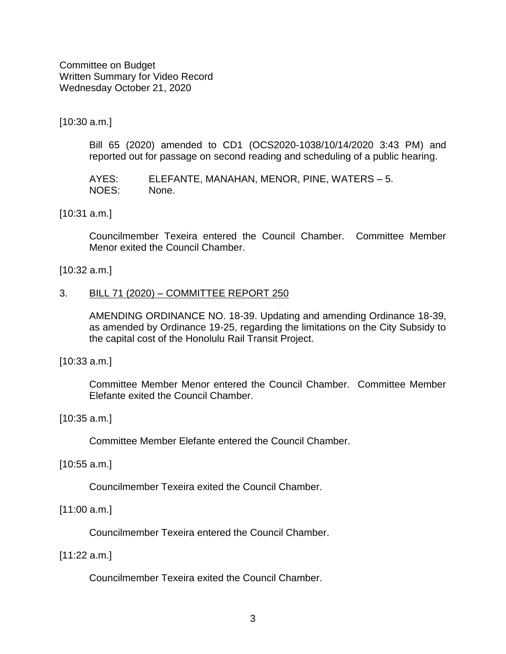[10:30 a.m.]

Bill 65 (2020) amended to CD1 (OCS2020-1038/10/14/2020 3:43 PM) and reported out for passage on second reading and scheduling of a public hearing.

AYES: ELEFANTE, MANAHAN, MENOR, PINE, WATERS – 5. NOES: None.

[10:31 a.m.]

Councilmember Texeira entered the Council Chamber. Committee Member Menor exited the Council Chamber.

#### [10:32 a.m.]

#### 3. BILL 71 (2020) – COMMITTEE REPORT 250

AMENDING ORDINANCE NO. 18-39. Updating and amending Ordinance 18-39, as amended by Ordinance 19-25, regarding the limitations on the City Subsidy to the capital cost of the Honolulu Rail Transit Project.

[10:33 a.m.]

Committee Member Menor entered the Council Chamber. Committee Member Elefante exited the Council Chamber.

[10:35 a.m.]

Committee Member Elefante entered the Council Chamber.

[10:55 a.m.]

Councilmember Texeira exited the Council Chamber.

## [11:00 a.m.]

Councilmember Texeira entered the Council Chamber.

[11:22 a.m.]

Councilmember Texeira exited the Council Chamber.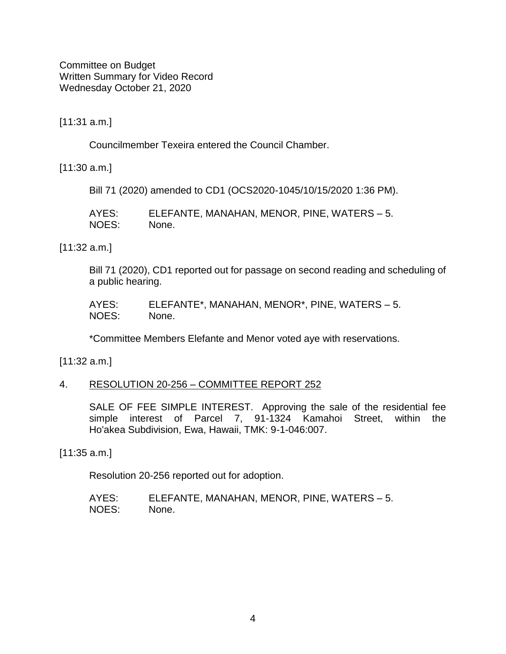[11:31 a.m.]

Councilmember Texeira entered the Council Chamber.

[11:30 a.m.]

Bill 71 (2020) amended to CD1 (OCS2020-1045/10/15/2020 1:36 PM).

| AYES: | ELEFANTE, MANAHAN, MENOR, PINE, WATERS – 5. |
|-------|---------------------------------------------|
| NOES: | None.                                       |

[11:32 a.m.]

Bill 71 (2020), CD1 reported out for passage on second reading and scheduling of a public hearing.

| AYES: | ELEFANTE*, MANAHAN, MENOR*, PINE, WATERS – 5. |
|-------|-----------------------------------------------|
| NOES: | None.                                         |

\*Committee Members Elefante and Menor voted aye with reservations.

[11:32 a.m.]

4. RESOLUTION 20-256 – COMMITTEE REPORT 252

SALE OF FEE SIMPLE INTEREST. Approving the sale of the residential fee simple interest of Parcel 7, 91-1324 Kamahoi Street, within the Ho'akea Subdivision, Ewa, Hawaii, TMK: 9-1-046:007.

[11:35 a.m.]

Resolution 20-256 reported out for adoption.

AYES: ELEFANTE, MANAHAN, MENOR, PINE, WATERS – 5. NOES: None.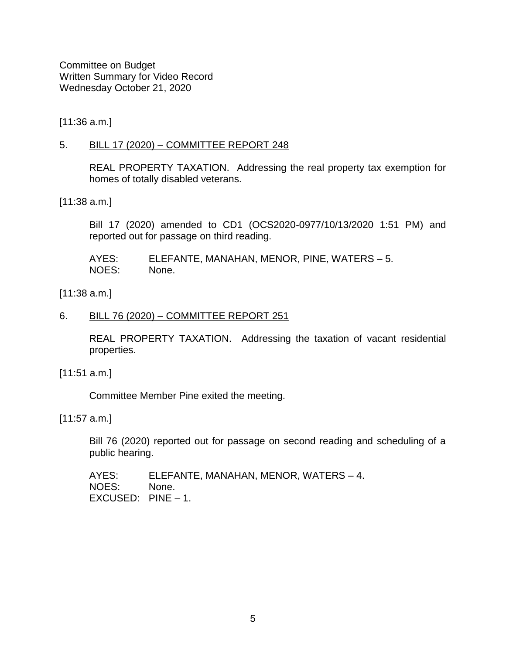[11:36 a.m.]

## 5. BILL 17 (2020) – COMMITTEE REPORT 248

REAL PROPERTY TAXATION. Addressing the real property tax exemption for homes of totally disabled veterans.

[11:38 a.m.]

Bill 17 (2020) amended to CD1 (OCS2020-0977/10/13/2020 1:51 PM) and reported out for passage on third reading.

AYES: ELEFANTE, MANAHAN, MENOR, PINE, WATERS – 5. NOES: None.

[11:38 a.m.]

# 6. BILL 76 (2020) – COMMITTEE REPORT 251

REAL PROPERTY TAXATION.Addressing the taxation of vacant residential properties.

[11:51 a.m.]

Committee Member Pine exited the meeting.

[11:57 a.m.]

Bill 76 (2020) reported out for passage on second reading and scheduling of a public hearing.

AYES: ELEFANTE, MANAHAN, MENOR, WATERS – 4. NOES: None. EXCUSED: PINE – 1.